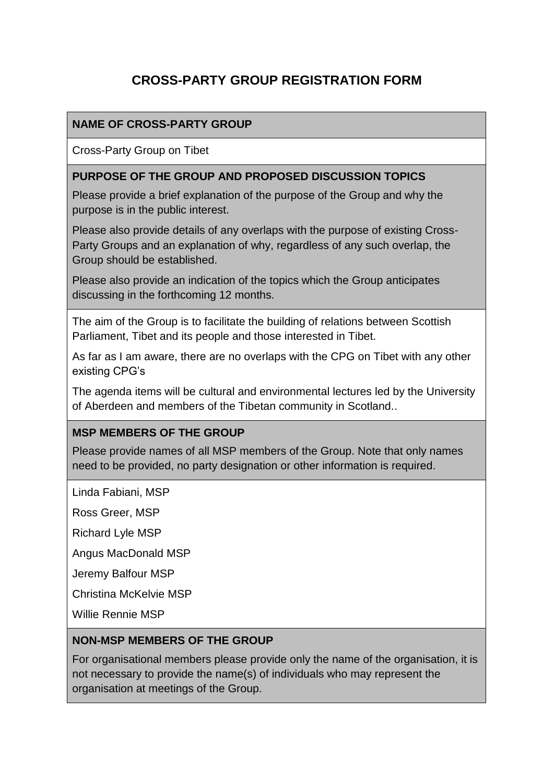# **CROSS-PARTY GROUP REGISTRATION FORM**

# **NAME OF CROSS-PARTY GROUP**

Cross-Party Group on Tibet

### **PURPOSE OF THE GROUP AND PROPOSED DISCUSSION TOPICS**

Please provide a brief explanation of the purpose of the Group and why the purpose is in the public interest.

Please also provide details of any overlaps with the purpose of existing Cross-Party Groups and an explanation of why, regardless of any such overlap, the Group should be established.

Please also provide an indication of the topics which the Group anticipates discussing in the forthcoming 12 months.

The aim of the Group is to facilitate the building of relations between Scottish Parliament, Tibet and its people and those interested in Tibet.

As far as I am aware, there are no overlaps with the CPG on Tibet with any other existing CPG's

The agenda items will be cultural and environmental lectures led by the University of Aberdeen and members of the Tibetan community in Scotland..

#### **MSP MEMBERS OF THE GROUP**

Please provide names of all MSP members of the Group. Note that only names need to be provided, no party designation or other information is required.

Linda Fabiani, MSP

Ross Greer, MSP

Richard Lyle MSP

Angus MacDonald MSP

Jeremy Balfour MSP

Christina McKelvie MSP

Willie Rennie MSP

#### **NON-MSP MEMBERS OF THE GROUP**

For organisational members please provide only the name of the organisation, it is not necessary to provide the name(s) of individuals who may represent the organisation at meetings of the Group.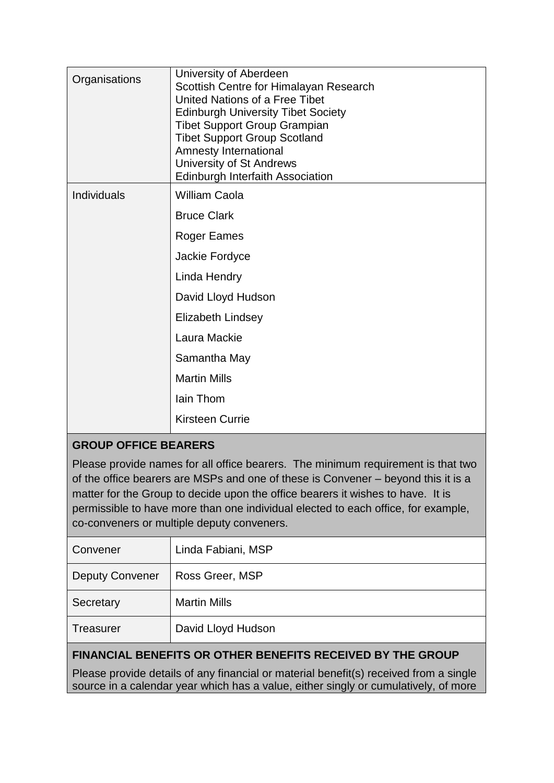| Organisations | University of Aberdeen<br>Scottish Centre for Himalayan Research<br>United Nations of a Free Tibet<br><b>Edinburgh University Tibet Society</b><br><b>Tibet Support Group Grampian</b><br><b>Tibet Support Group Scotland</b><br>Amnesty International<br>University of St Andrews<br><b>Edinburgh Interfaith Association</b> |
|---------------|-------------------------------------------------------------------------------------------------------------------------------------------------------------------------------------------------------------------------------------------------------------------------------------------------------------------------------|
| Individuals   | <b>William Caola</b>                                                                                                                                                                                                                                                                                                          |
|               | <b>Bruce Clark</b>                                                                                                                                                                                                                                                                                                            |
|               | Roger Eames                                                                                                                                                                                                                                                                                                                   |
|               | Jackie Fordyce                                                                                                                                                                                                                                                                                                                |
|               | Linda Hendry                                                                                                                                                                                                                                                                                                                  |
|               | David Lloyd Hudson                                                                                                                                                                                                                                                                                                            |
|               | <b>Elizabeth Lindsey</b>                                                                                                                                                                                                                                                                                                      |
|               | Laura Mackie                                                                                                                                                                                                                                                                                                                  |
|               | Samantha May                                                                                                                                                                                                                                                                                                                  |
|               | <b>Martin Mills</b>                                                                                                                                                                                                                                                                                                           |
|               | lain Thom                                                                                                                                                                                                                                                                                                                     |
|               | <b>Kirsteen Currie</b>                                                                                                                                                                                                                                                                                                        |

# **GROUP OFFICE BEARERS**

Please provide names for all office bearers. The minimum requirement is that two of the office bearers are MSPs and one of these is Convener – beyond this it is a matter for the Group to decide upon the office bearers it wishes to have. It is permissible to have more than one individual elected to each office, for example, co-conveners or multiple deputy conveners.

| Convener               | Linda Fabiani, MSP  |
|------------------------|---------------------|
| <b>Deputy Convener</b> | Ross Greer, MSP     |
| Secretary              | <b>Martin Mills</b> |
| <b>Treasurer</b>       | David Lloyd Hudson  |
|                        |                     |

# **FINANCIAL BENEFITS OR OTHER BENEFITS RECEIVED BY THE GROUP**

Please provide details of any financial or material benefit(s) received from a single source in a calendar year which has a value, either singly or cumulatively, of more